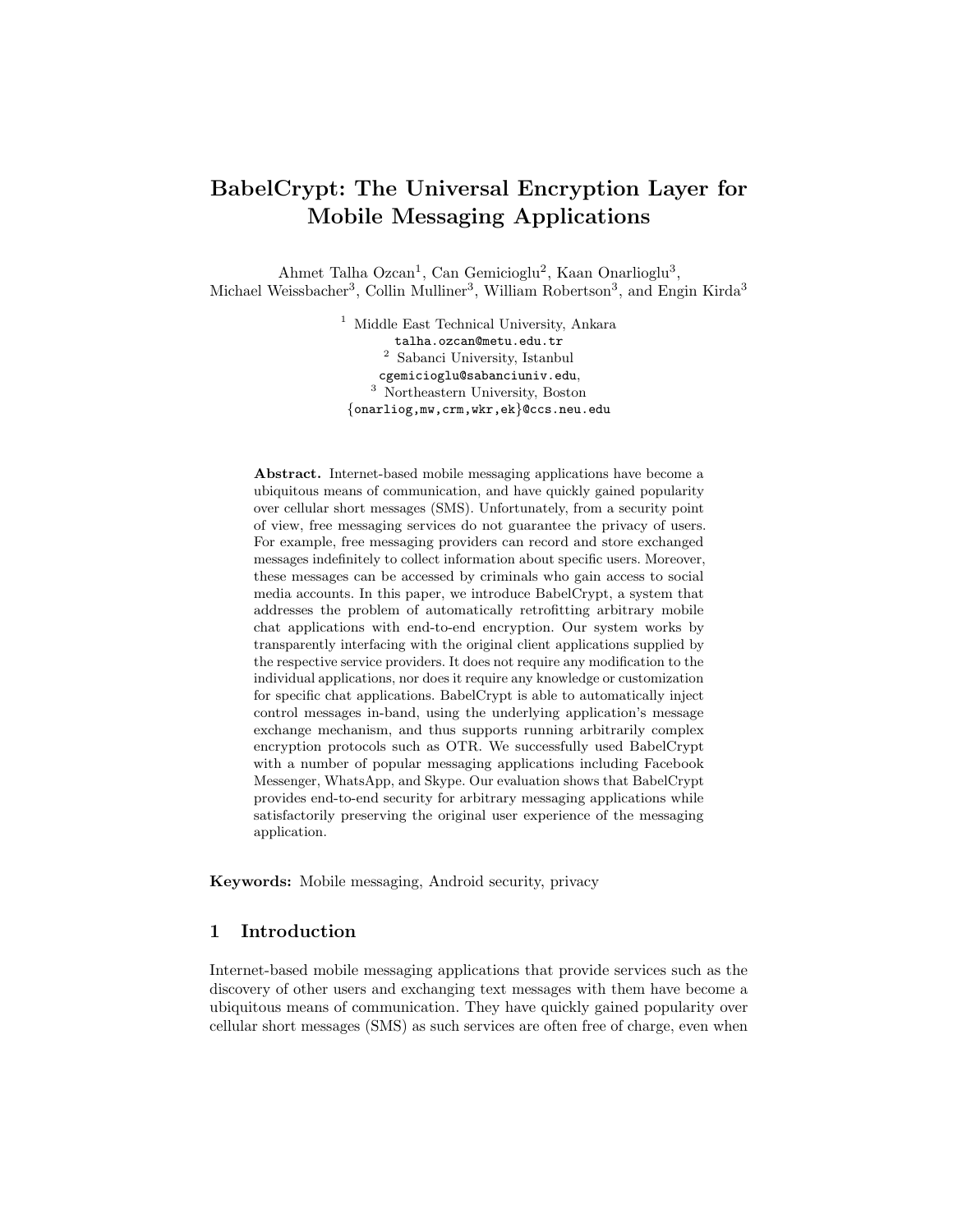# BabelCrypt: The Universal Encryption Layer for Mobile Messaging Applications

Ahmet Talha Ozcan<sup>1</sup>, Can Gemicioglu<sup>2</sup>, Kaan Onarlioglu<sup>3</sup>, Michael Weissbacher<sup>3</sup>, Collin Mulliner<sup>3</sup>, William Robertson<sup>3</sup>, and Engin Kirda<sup>3</sup>

> <sup>1</sup> Middle East Technical University, Ankara talha.ozcan@metu.edu.tr <sup>2</sup> Sabanci University, Istanbul cgemicioglu@sabanciuniv.edu, <sup>3</sup> Northeastern University, Boston {onarliog,mw,crm,wkr,ek}@ccs.neu.edu

Abstract. Internet-based mobile messaging applications have become a ubiquitous means of communication, and have quickly gained popularity over cellular short messages (SMS). Unfortunately, from a security point of view, free messaging services do not guarantee the privacy of users. For example, free messaging providers can record and store exchanged messages indefinitely to collect information about specific users. Moreover, these messages can be accessed by criminals who gain access to social media accounts. In this paper, we introduce BabelCrypt, a system that addresses the problem of automatically retrofitting arbitrary mobile chat applications with end-to-end encryption. Our system works by transparently interfacing with the original client applications supplied by the respective service providers. It does not require any modification to the individual applications, nor does it require any knowledge or customization for specific chat applications. BabelCrypt is able to automatically inject control messages in-band, using the underlying application's message exchange mechanism, and thus supports running arbitrarily complex encryption protocols such as OTR. We successfully used BabelCrypt with a number of popular messaging applications including Facebook Messenger, WhatsApp, and Skype. Our evaluation shows that BabelCrypt provides end-to-end security for arbitrary messaging applications while satisfactorily preserving the original user experience of the messaging application.

Keywords: Mobile messaging, Android security, privacy

## 1 Introduction

Internet-based mobile messaging applications that provide services such as the discovery of other users and exchanging text messages with them have become a ubiquitous means of communication. They have quickly gained popularity over cellular short messages (SMS) as such services are often free of charge, even when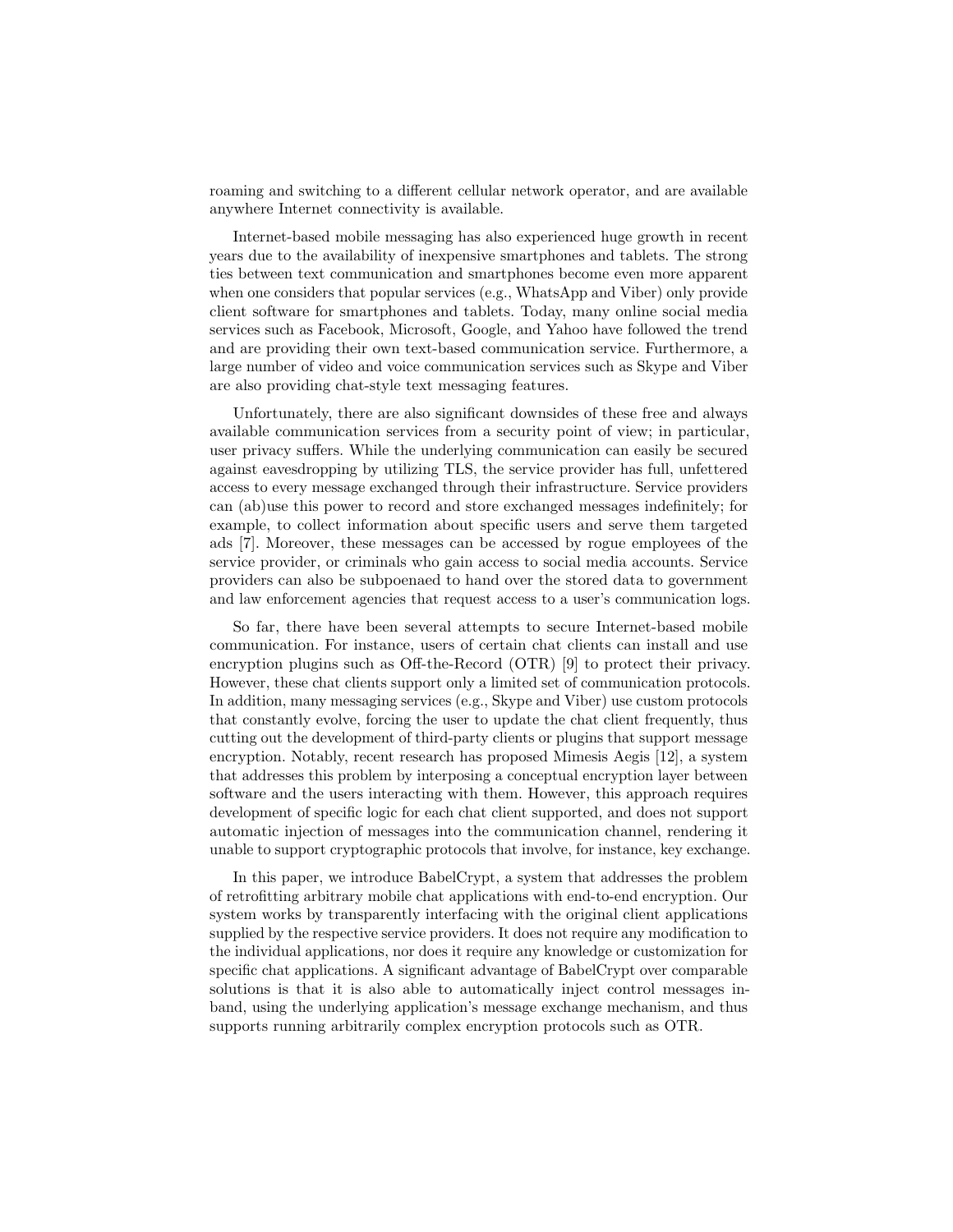roaming and switching to a different cellular network operator, and are available anywhere Internet connectivity is available.

Internet-based mobile messaging has also experienced huge growth in recent years due to the availability of inexpensive smartphones and tablets. The strong ties between text communication and smartphones become even more apparent when one considers that popular services (e.g., WhatsApp and Viber) only provide client software for smartphones and tablets. Today, many online social media services such as Facebook, Microsoft, Google, and Yahoo have followed the trend and are providing their own text-based communication service. Furthermore, a large number of video and voice communication services such as Skype and Viber are also providing chat-style text messaging features.

Unfortunately, there are also significant downsides of these free and always available communication services from a security point of view; in particular, user privacy suffers. While the underlying communication can easily be secured against eavesdropping by utilizing TLS, the service provider has full, unfettered access to every message exchanged through their infrastructure. Service providers can (ab)use this power to record and store exchanged messages indefinitely; for example, to collect information about specific users and serve them targeted ads [7]. Moreover, these messages can be accessed by rogue employees of the service provider, or criminals who gain access to social media accounts. Service providers can also be subpoenaed to hand over the stored data to government and law enforcement agencies that request access to a user's communication logs.

So far, there have been several attempts to secure Internet-based mobile communication. For instance, users of certain chat clients can install and use encryption plugins such as Off-the-Record (OTR) [9] to protect their privacy. However, these chat clients support only a limited set of communication protocols. In addition, many messaging services (e.g., Skype and Viber) use custom protocols that constantly evolve, forcing the user to update the chat client frequently, thus cutting out the development of third-party clients or plugins that support message encryption. Notably, recent research has proposed Mimesis Aegis [12], a system that addresses this problem by interposing a conceptual encryption layer between software and the users interacting with them. However, this approach requires development of specific logic for each chat client supported, and does not support automatic injection of messages into the communication channel, rendering it unable to support cryptographic protocols that involve, for instance, key exchange.

In this paper, we introduce BabelCrypt, a system that addresses the problem of retrofitting arbitrary mobile chat applications with end-to-end encryption. Our system works by transparently interfacing with the original client applications supplied by the respective service providers. It does not require any modification to the individual applications, nor does it require any knowledge or customization for specific chat applications. A significant advantage of BabelCrypt over comparable solutions is that it is also able to automatically inject control messages inband, using the underlying application's message exchange mechanism, and thus supports running arbitrarily complex encryption protocols such as OTR.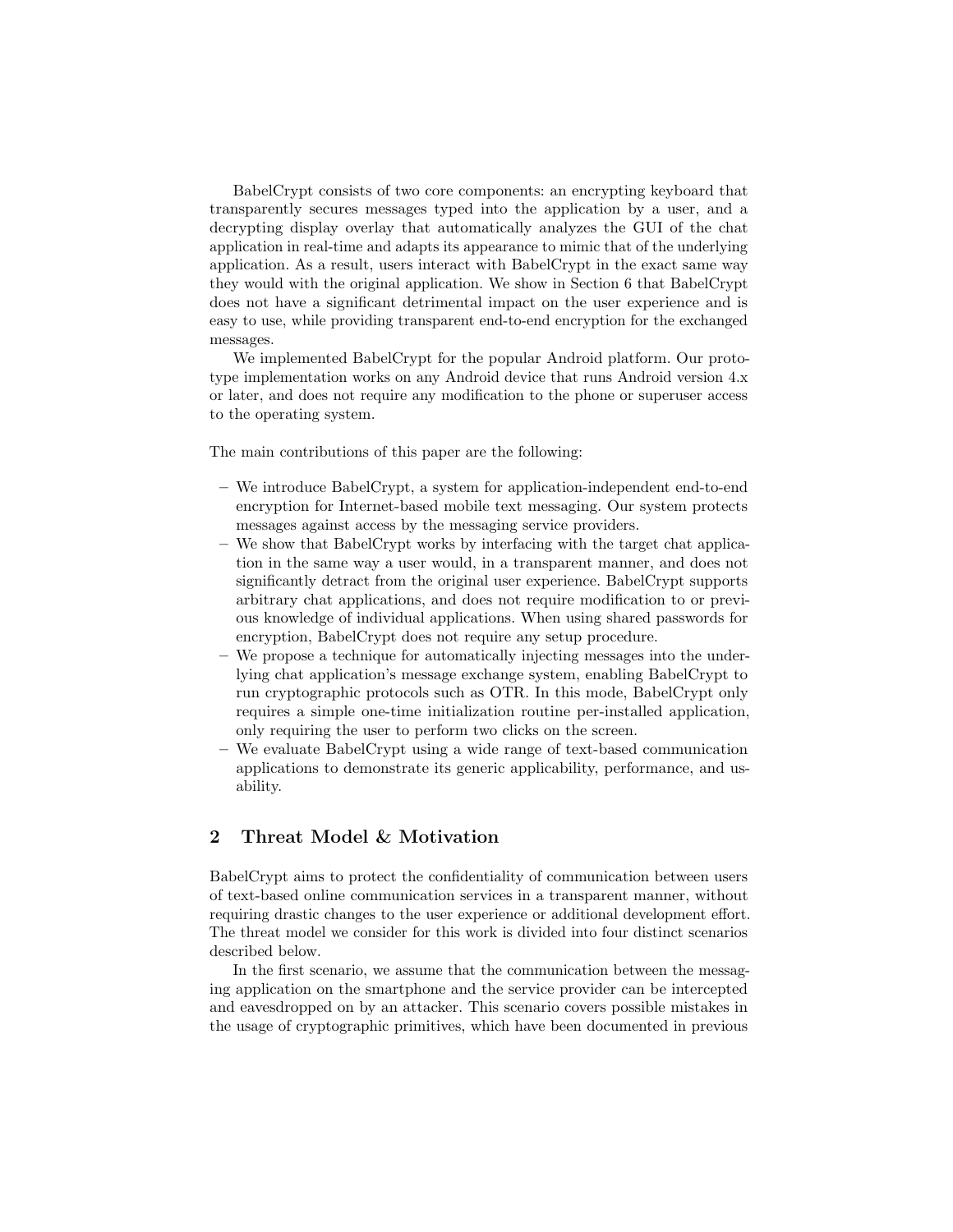BabelCrypt consists of two core components: an encrypting keyboard that transparently secures messages typed into the application by a user, and a decrypting display overlay that automatically analyzes the GUI of the chat application in real-time and adapts its appearance to mimic that of the underlying application. As a result, users interact with BabelCrypt in the exact same way they would with the original application. We show in Section 6 that BabelCrypt does not have a significant detrimental impact on the user experience and is easy to use, while providing transparent end-to-end encryption for the exchanged messages.

We implemented BabelCrypt for the popular Android platform. Our prototype implementation works on any Android device that runs Android version 4.x or later, and does not require any modification to the phone or superuser access to the operating system.

The main contributions of this paper are the following:

- We introduce BabelCrypt, a system for application-independent end-to-end encryption for Internet-based mobile text messaging. Our system protects messages against access by the messaging service providers.
- We show that BabelCrypt works by interfacing with the target chat application in the same way a user would, in a transparent manner, and does not significantly detract from the original user experience. BabelCrypt supports arbitrary chat applications, and does not require modification to or previous knowledge of individual applications. When using shared passwords for encryption, BabelCrypt does not require any setup procedure.
- We propose a technique for automatically injecting messages into the underlying chat application's message exchange system, enabling BabelCrypt to run cryptographic protocols such as OTR. In this mode, BabelCrypt only requires a simple one-time initialization routine per-installed application, only requiring the user to perform two clicks on the screen.
- We evaluate BabelCrypt using a wide range of text-based communication applications to demonstrate its generic applicability, performance, and usability.

## 2 Threat Model & Motivation

BabelCrypt aims to protect the confidentiality of communication between users of text-based online communication services in a transparent manner, without requiring drastic changes to the user experience or additional development effort. The threat model we consider for this work is divided into four distinct scenarios described below.

In the first scenario, we assume that the communication between the messaging application on the smartphone and the service provider can be intercepted and eavesdropped on by an attacker. This scenario covers possible mistakes in the usage of cryptographic primitives, which have been documented in previous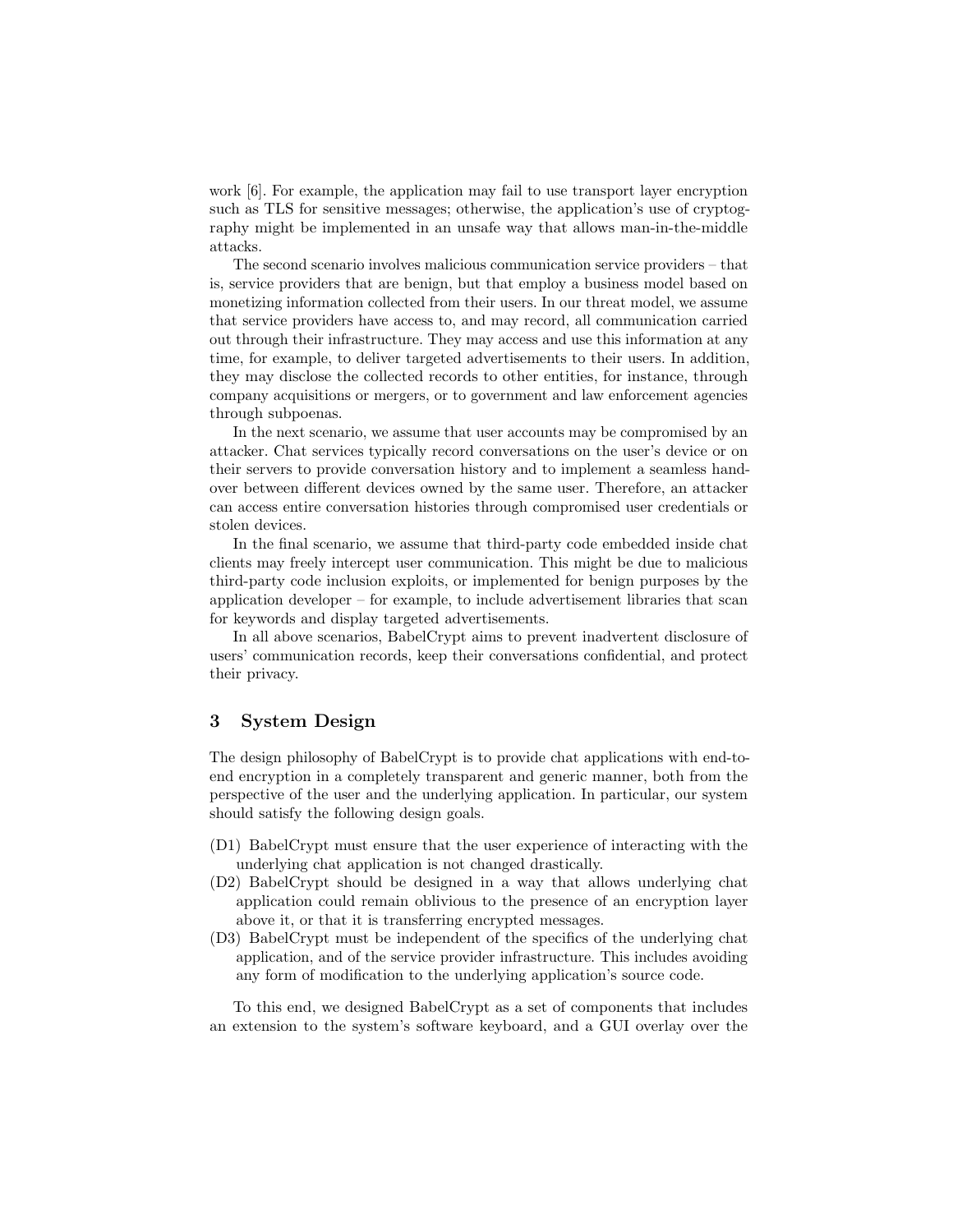work [6]. For example, the application may fail to use transport layer encryption such as TLS for sensitive messages; otherwise, the application's use of cryptography might be implemented in an unsafe way that allows man-in-the-middle attacks.

The second scenario involves malicious communication service providers – that is, service providers that are benign, but that employ a business model based on monetizing information collected from their users. In our threat model, we assume that service providers have access to, and may record, all communication carried out through their infrastructure. They may access and use this information at any time, for example, to deliver targeted advertisements to their users. In addition, they may disclose the collected records to other entities, for instance, through company acquisitions or mergers, or to government and law enforcement agencies through subpoenas.

In the next scenario, we assume that user accounts may be compromised by an attacker. Chat services typically record conversations on the user's device or on their servers to provide conversation history and to implement a seamless handover between different devices owned by the same user. Therefore, an attacker can access entire conversation histories through compromised user credentials or stolen devices.

In the final scenario, we assume that third-party code embedded inside chat clients may freely intercept user communication. This might be due to malicious third-party code inclusion exploits, or implemented for benign purposes by the application developer – for example, to include advertisement libraries that scan for keywords and display targeted advertisements.

In all above scenarios, BabelCrypt aims to prevent inadvertent disclosure of users' communication records, keep their conversations confidential, and protect their privacy.

## 3 System Design

The design philosophy of BabelCrypt is to provide chat applications with end-toend encryption in a completely transparent and generic manner, both from the perspective of the user and the underlying application. In particular, our system should satisfy the following design goals.

- (D1) BabelCrypt must ensure that the user experience of interacting with the underlying chat application is not changed drastically.
- (D2) BabelCrypt should be designed in a way that allows underlying chat application could remain oblivious to the presence of an encryption layer above it, or that it is transferring encrypted messages.
- (D3) BabelCrypt must be independent of the specifics of the underlying chat application, and of the service provider infrastructure. This includes avoiding any form of modification to the underlying application's source code.

To this end, we designed BabelCrypt as a set of components that includes an extension to the system's software keyboard, and a GUI overlay over the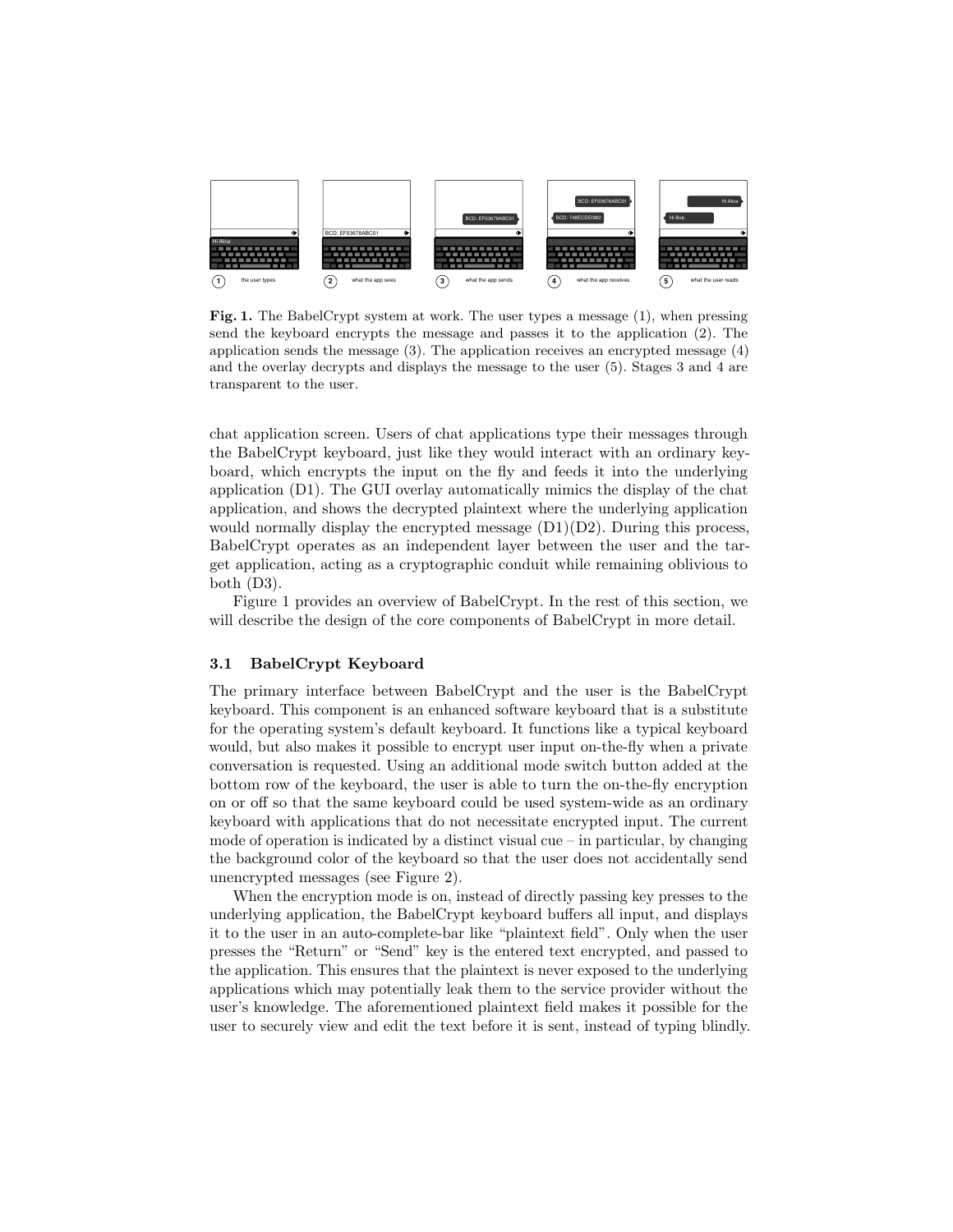

Fig. 1. The BabelCrypt system at work. The user types a message (1), when pressing send the keyboard encrypts the message and passes it to the application (2). The application sends the message (3). The application receives an encrypted message (4) and the overlay decrypts and displays the message to the user (5). Stages 3 and 4 are transparent to the user.

chat application screen. Users of chat applications type their messages through the BabelCrypt keyboard, just like they would interact with an ordinary keyboard, which encrypts the input on the fly and feeds it into the underlying application (D1). The GUI overlay automatically mimics the display of the chat application, and shows the decrypted plaintext where the underlying application would normally display the encrypted message  $(D1)(D2)$ . During this process, BabelCrypt operates as an independent layer between the user and the target application, acting as a cryptographic conduit while remaining oblivious to both (D3).

Figure 1 provides an overview of BabelCrypt. In the rest of this section, we will describe the design of the core components of BabelCrypt in more detail.

### 3.1 BabelCrypt Keyboard

The primary interface between BabelCrypt and the user is the BabelCrypt keyboard. This component is an enhanced software keyboard that is a substitute for the operating system's default keyboard. It functions like a typical keyboard would, but also makes it possible to encrypt user input on-the-fly when a private conversation is requested. Using an additional mode switch button added at the bottom row of the keyboard, the user is able to turn the on-the-fly encryption on or off so that the same keyboard could be used system-wide as an ordinary keyboard with applications that do not necessitate encrypted input. The current mode of operation is indicated by a distinct visual cue – in particular, by changing the background color of the keyboard so that the user does not accidentally send unencrypted messages (see Figure 2).

When the encryption mode is on, instead of directly passing key presses to the underlying application, the BabelCrypt keyboard buffers all input, and displays it to the user in an auto-complete-bar like "plaintext field". Only when the user presses the "Return" or "Send" key is the entered text encrypted, and passed to the application. This ensures that the plaintext is never exposed to the underlying applications which may potentially leak them to the service provider without the user's knowledge. The aforementioned plaintext field makes it possible for the user to securely view and edit the text before it is sent, instead of typing blindly.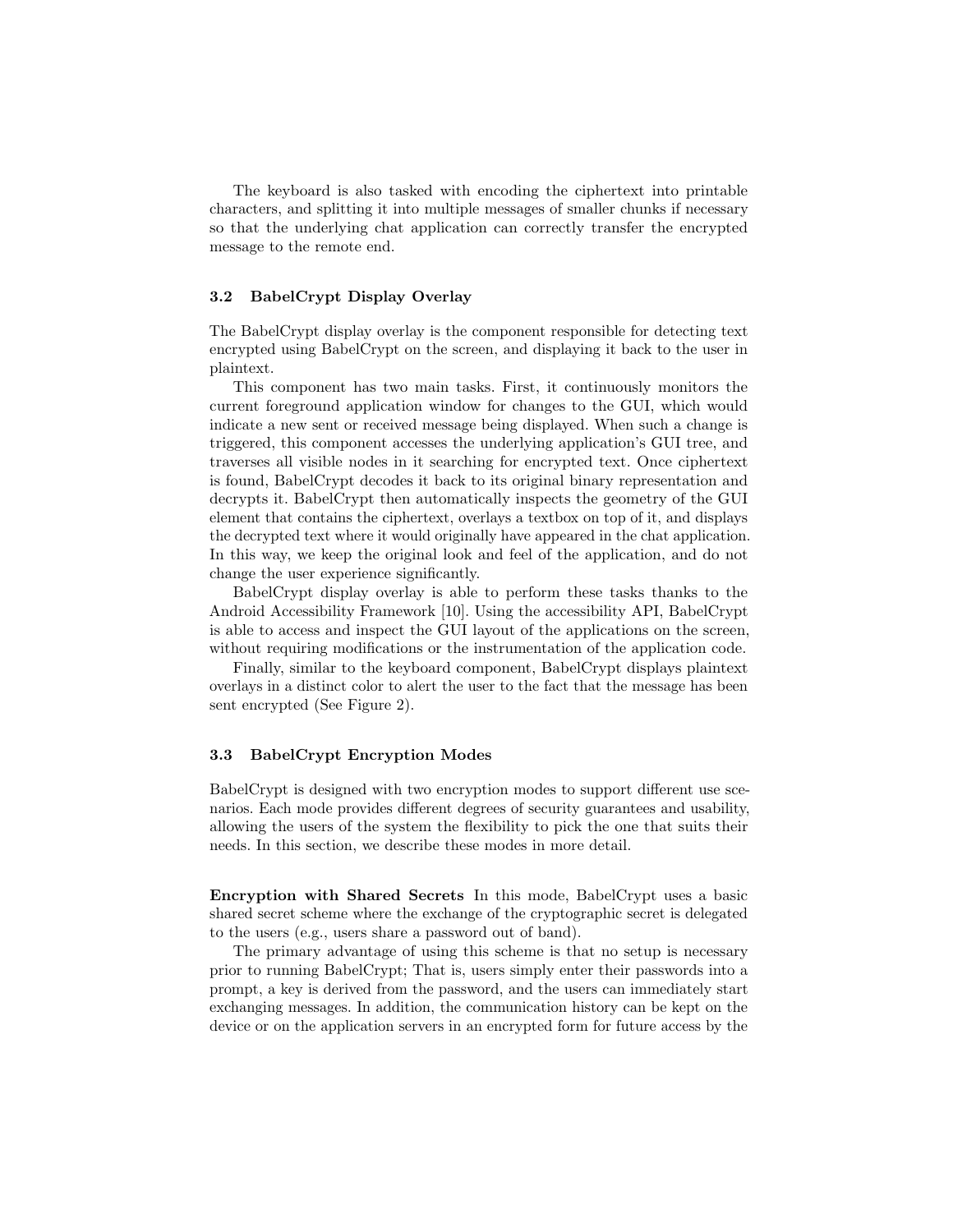The keyboard is also tasked with encoding the ciphertext into printable characters, and splitting it into multiple messages of smaller chunks if necessary so that the underlying chat application can correctly transfer the encrypted message to the remote end.

### 3.2 BabelCrypt Display Overlay

The BabelCrypt display overlay is the component responsible for detecting text encrypted using BabelCrypt on the screen, and displaying it back to the user in plaintext.

This component has two main tasks. First, it continuously monitors the current foreground application window for changes to the GUI, which would indicate a new sent or received message being displayed. When such a change is triggered, this component accesses the underlying application's GUI tree, and traverses all visible nodes in it searching for encrypted text. Once ciphertext is found, BabelCrypt decodes it back to its original binary representation and decrypts it. BabelCrypt then automatically inspects the geometry of the GUI element that contains the ciphertext, overlays a textbox on top of it, and displays the decrypted text where it would originally have appeared in the chat application. In this way, we keep the original look and feel of the application, and do not change the user experience significantly.

BabelCrypt display overlay is able to perform these tasks thanks to the Android Accessibility Framework [10]. Using the accessibility API, BabelCrypt is able to access and inspect the GUI layout of the applications on the screen, without requiring modifications or the instrumentation of the application code.

Finally, similar to the keyboard component, BabelCrypt displays plaintext overlays in a distinct color to alert the user to the fact that the message has been sent encrypted (See Figure 2).

#### 3.3 BabelCrypt Encryption Modes

BabelCrypt is designed with two encryption modes to support different use scenarios. Each mode provides different degrees of security guarantees and usability, allowing the users of the system the flexibility to pick the one that suits their needs. In this section, we describe these modes in more detail.

Encryption with Shared Secrets In this mode, BabelCrypt uses a basic shared secret scheme where the exchange of the cryptographic secret is delegated to the users (e.g., users share a password out of band).

The primary advantage of using this scheme is that no setup is necessary prior to running BabelCrypt; That is, users simply enter their passwords into a prompt, a key is derived from the password, and the users can immediately start exchanging messages. In addition, the communication history can be kept on the device or on the application servers in an encrypted form for future access by the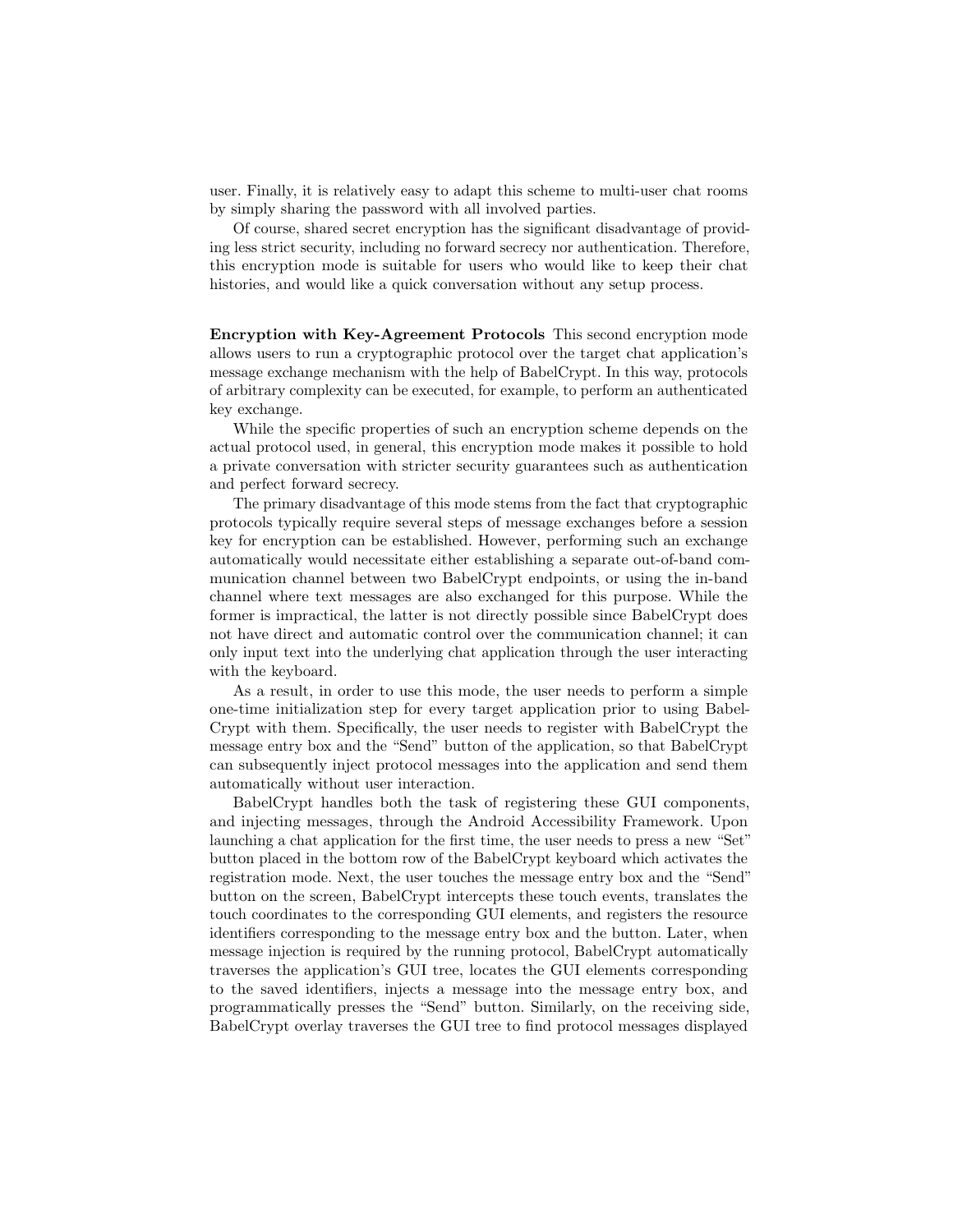user. Finally, it is relatively easy to adapt this scheme to multi-user chat rooms by simply sharing the password with all involved parties.

Of course, shared secret encryption has the significant disadvantage of providing less strict security, including no forward secrecy nor authentication. Therefore, this encryption mode is suitable for users who would like to keep their chat histories, and would like a quick conversation without any setup process.

Encryption with Key-Agreement Protocols This second encryption mode allows users to run a cryptographic protocol over the target chat application's message exchange mechanism with the help of BabelCrypt. In this way, protocols of arbitrary complexity can be executed, for example, to perform an authenticated key exchange.

While the specific properties of such an encryption scheme depends on the actual protocol used, in general, this encryption mode makes it possible to hold a private conversation with stricter security guarantees such as authentication and perfect forward secrecy.

The primary disadvantage of this mode stems from the fact that cryptographic protocols typically require several steps of message exchanges before a session key for encryption can be established. However, performing such an exchange automatically would necessitate either establishing a separate out-of-band communication channel between two BabelCrypt endpoints, or using the in-band channel where text messages are also exchanged for this purpose. While the former is impractical, the latter is not directly possible since BabelCrypt does not have direct and automatic control over the communication channel; it can only input text into the underlying chat application through the user interacting with the keyboard.

As a result, in order to use this mode, the user needs to perform a simple one-time initialization step for every target application prior to using Babel-Crypt with them. Specifically, the user needs to register with BabelCrypt the message entry box and the "Send" button of the application, so that BabelCrypt can subsequently inject protocol messages into the application and send them automatically without user interaction.

BabelCrypt handles both the task of registering these GUI components, and injecting messages, through the Android Accessibility Framework. Upon launching a chat application for the first time, the user needs to press a new "Set" button placed in the bottom row of the BabelCrypt keyboard which activates the registration mode. Next, the user touches the message entry box and the "Send" button on the screen, BabelCrypt intercepts these touch events, translates the touch coordinates to the corresponding GUI elements, and registers the resource identifiers corresponding to the message entry box and the button. Later, when message injection is required by the running protocol, BabelCrypt automatically traverses the application's GUI tree, locates the GUI elements corresponding to the saved identifiers, injects a message into the message entry box, and programmatically presses the "Send" button. Similarly, on the receiving side, BabelCrypt overlay traverses the GUI tree to find protocol messages displayed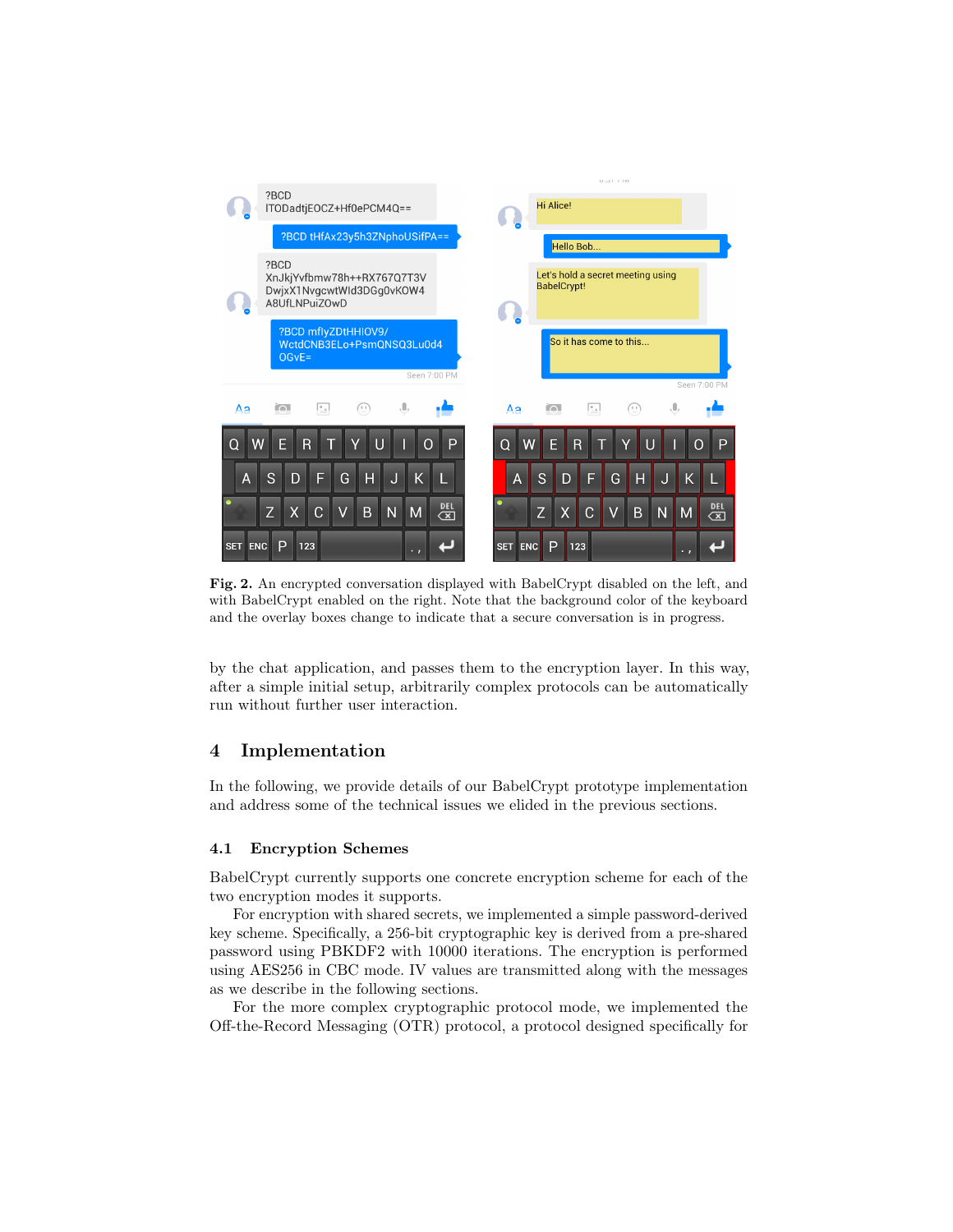

Fig. 2. An encrypted conversation displayed with BabelCrypt disabled on the left, and with BabelCrypt enabled on the right. Note that the background color of the keyboard and the overlay boxes change to indicate that a secure conversation is in progress.

by the chat application, and passes them to the encryption layer. In this way, after a simple initial setup, arbitrarily complex protocols can be automatically run without further user interaction.

## 4 Implementation

In the following, we provide details of our BabelCrypt prototype implementation and address some of the technical issues we elided in the previous sections.

### 4.1 Encryption Schemes

BabelCrypt currently supports one concrete encryption scheme for each of the two encryption modes it supports.

For encryption with shared secrets, we implemented a simple password-derived key scheme. Specifically, a 256-bit cryptographic key is derived from a pre-shared password using PBKDF2 with 10000 iterations. The encryption is performed using AES256 in CBC mode. IV values are transmitted along with the messages as we describe in the following sections.

For the more complex cryptographic protocol mode, we implemented the Off-the-Record Messaging (OTR) protocol, a protocol designed specifically for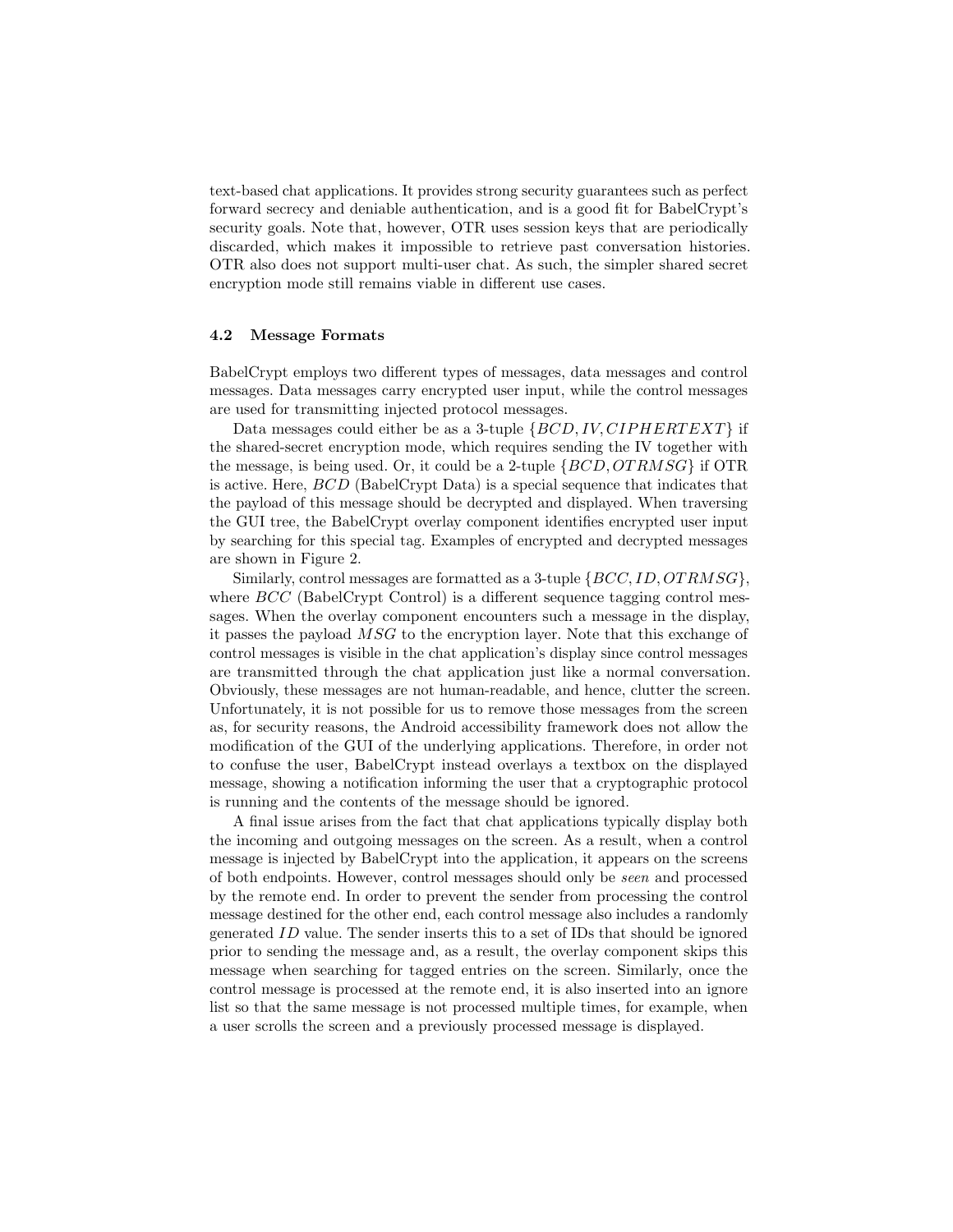text-based chat applications. It provides strong security guarantees such as perfect forward secrecy and deniable authentication, and is a good fit for BabelCrypt's security goals. Note that, however, OTR uses session keys that are periodically discarded, which makes it impossible to retrieve past conversation histories. OTR also does not support multi-user chat. As such, the simpler shared secret encryption mode still remains viable in different use cases.

#### 4.2 Message Formats

BabelCrypt employs two different types of messages, data messages and control messages. Data messages carry encrypted user input, while the control messages are used for transmitting injected protocol messages.

Data messages could either be as a 3-tuple  $\{BCD, IV, CIPHERTEXT\}$  if the shared-secret encryption mode, which requires sending the IV together with the message, is being used. Or, it could be a 2-tuple  $\{BCD, OTRMSG\}$  if OTR is active. Here, BCD (BabelCrypt Data) is a special sequence that indicates that the payload of this message should be decrypted and displayed. When traversing the GUI tree, the BabelCrypt overlay component identifies encrypted user input by searching for this special tag. Examples of encrypted and decrypted messages are shown in Figure 2.

Similarly, control messages are formatted as a 3-tuple  $\{BCC, ID, OTRMSG\}$ , where *BCC* (BabelCrypt Control) is a different sequence tagging control messages. When the overlay component encounters such a message in the display, it passes the payload MSG to the encryption layer. Note that this exchange of control messages is visible in the chat application's display since control messages are transmitted through the chat application just like a normal conversation. Obviously, these messages are not human-readable, and hence, clutter the screen. Unfortunately, it is not possible for us to remove those messages from the screen as, for security reasons, the Android accessibility framework does not allow the modification of the GUI of the underlying applications. Therefore, in order not to confuse the user, BabelCrypt instead overlays a textbox on the displayed message, showing a notification informing the user that a cryptographic protocol is running and the contents of the message should be ignored.

A final issue arises from the fact that chat applications typically display both the incoming and outgoing messages on the screen. As a result, when a control message is injected by BabelCrypt into the application, it appears on the screens of both endpoints. However, control messages should only be seen and processed by the remote end. In order to prevent the sender from processing the control message destined for the other end, each control message also includes a randomly generated ID value. The sender inserts this to a set of IDs that should be ignored prior to sending the message and, as a result, the overlay component skips this message when searching for tagged entries on the screen. Similarly, once the control message is processed at the remote end, it is also inserted into an ignore list so that the same message is not processed multiple times, for example, when a user scrolls the screen and a previously processed message is displayed.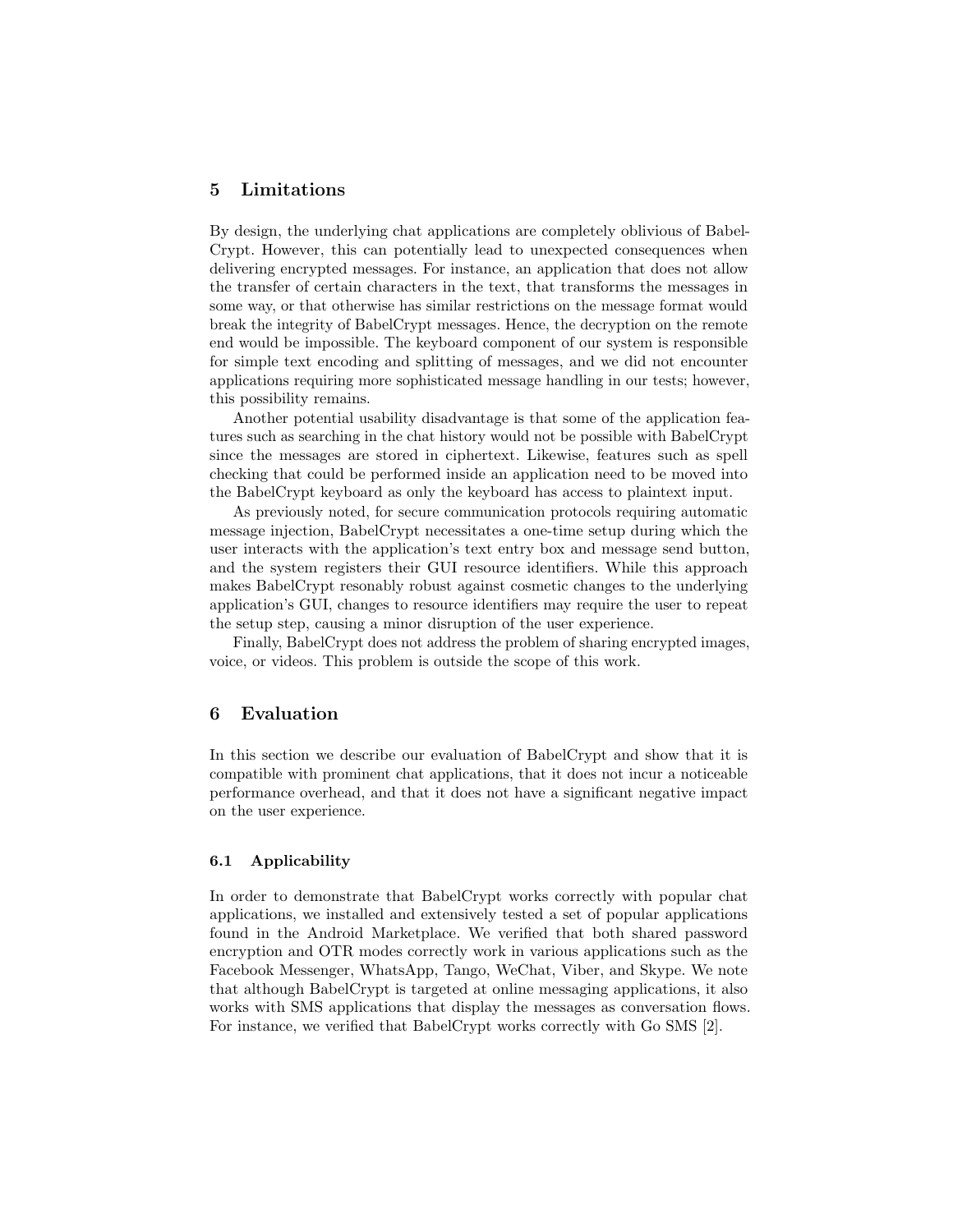## 5 Limitations

By design, the underlying chat applications are completely oblivious of Babel-Crypt. However, this can potentially lead to unexpected consequences when delivering encrypted messages. For instance, an application that does not allow the transfer of certain characters in the text, that transforms the messages in some way, or that otherwise has similar restrictions on the message format would break the integrity of BabelCrypt messages. Hence, the decryption on the remote end would be impossible. The keyboard component of our system is responsible for simple text encoding and splitting of messages, and we did not encounter applications requiring more sophisticated message handling in our tests; however, this possibility remains.

Another potential usability disadvantage is that some of the application features such as searching in the chat history would not be possible with BabelCrypt since the messages are stored in ciphertext. Likewise, features such as spell checking that could be performed inside an application need to be moved into the BabelCrypt keyboard as only the keyboard has access to plaintext input.

As previously noted, for secure communication protocols requiring automatic message injection, BabelCrypt necessitates a one-time setup during which the user interacts with the application's text entry box and message send button, and the system registers their GUI resource identifiers. While this approach makes BabelCrypt resonably robust against cosmetic changes to the underlying application's GUI, changes to resource identifiers may require the user to repeat the setup step, causing a minor disruption of the user experience.

Finally, BabelCrypt does not address the problem of sharing encrypted images, voice, or videos. This problem is outside the scope of this work.

## 6 Evaluation

In this section we describe our evaluation of BabelCrypt and show that it is compatible with prominent chat applications, that it does not incur a noticeable performance overhead, and that it does not have a significant negative impact on the user experience.

### 6.1 Applicability

In order to demonstrate that BabelCrypt works correctly with popular chat applications, we installed and extensively tested a set of popular applications found in the Android Marketplace. We verified that both shared password encryption and OTR modes correctly work in various applications such as the Facebook Messenger, WhatsApp, Tango, WeChat, Viber, and Skype. We note that although BabelCrypt is targeted at online messaging applications, it also works with SMS applications that display the messages as conversation flows. For instance, we verified that BabelCrypt works correctly with Go SMS [2].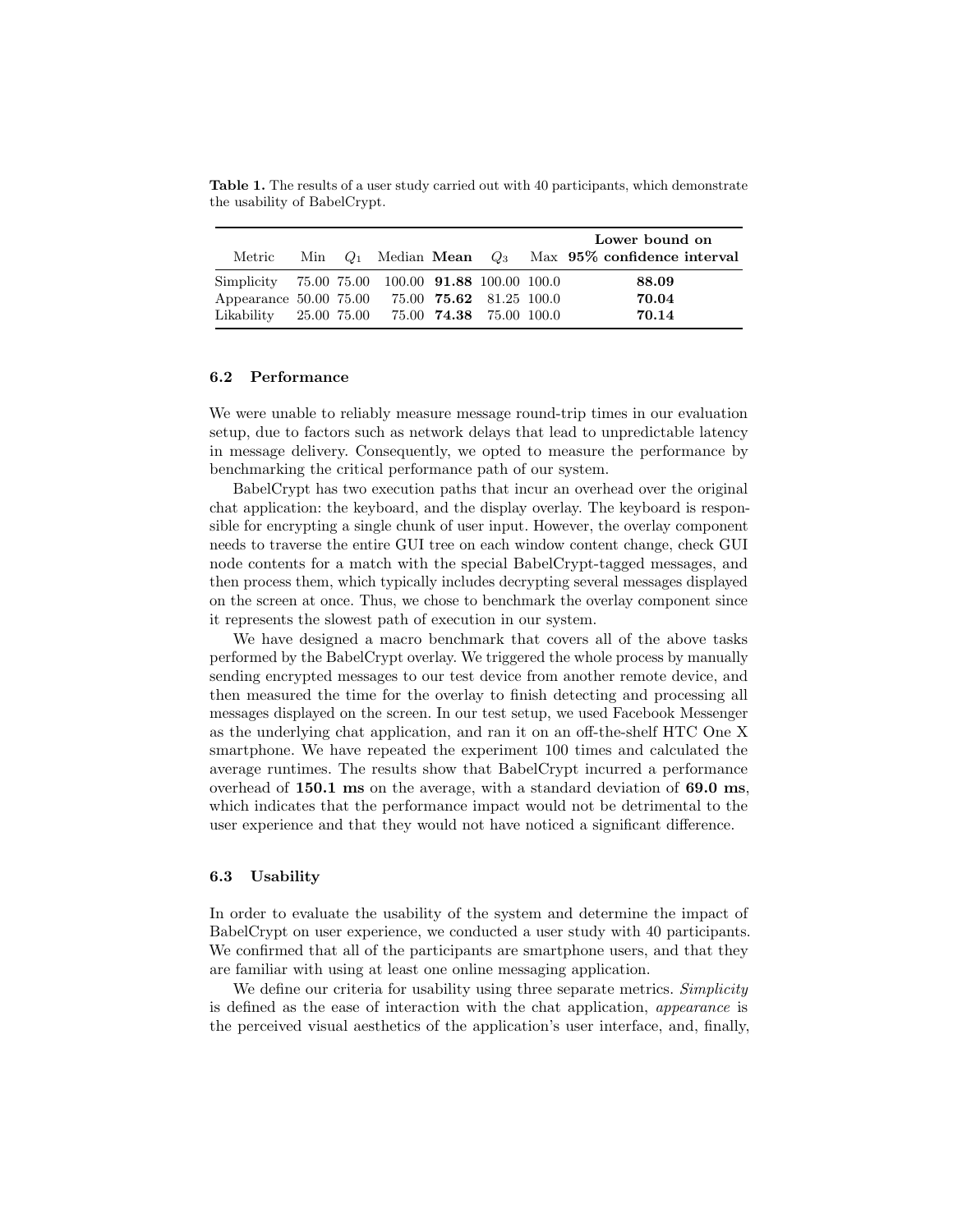Table 1. The results of a user study carried out with 40 participants, which demonstrate the usability of BabelCrypt.

| Metric                                                |  |  |  | Lower bound on<br>Min $Q_1$ Median Mean $Q_3$ Max 95% confidence interval |
|-------------------------------------------------------|--|--|--|---------------------------------------------------------------------------|
| Simplicity 75.00 75.00 100.00 91.88 100.00 100.0      |  |  |  | 88.09                                                                     |
| Appearance 50.00 75.00 75.00 75.62 81.25 100.0        |  |  |  | 70.04                                                                     |
| Likability 25.00 75.00 75.00 <b>74.38</b> 75.00 100.0 |  |  |  | 70.14                                                                     |

### 6.2 Performance

We were unable to reliably measure message round-trip times in our evaluation setup, due to factors such as network delays that lead to unpredictable latency in message delivery. Consequently, we opted to measure the performance by benchmarking the critical performance path of our system.

BabelCrypt has two execution paths that incur an overhead over the original chat application: the keyboard, and the display overlay. The keyboard is responsible for encrypting a single chunk of user input. However, the overlay component needs to traverse the entire GUI tree on each window content change, check GUI node contents for a match with the special BabelCrypt-tagged messages, and then process them, which typically includes decrypting several messages displayed on the screen at once. Thus, we chose to benchmark the overlay component since it represents the slowest path of execution in our system.

We have designed a macro benchmark that covers all of the above tasks performed by the BabelCrypt overlay. We triggered the whole process by manually sending encrypted messages to our test device from another remote device, and then measured the time for the overlay to finish detecting and processing all messages displayed on the screen. In our test setup, we used Facebook Messenger as the underlying chat application, and ran it on an off-the-shelf HTC One X smartphone. We have repeated the experiment 100 times and calculated the average runtimes. The results show that BabelCrypt incurred a performance overhead of 150.1 ms on the average, with a standard deviation of 69.0 ms, which indicates that the performance impact would not be detrimental to the user experience and that they would not have noticed a significant difference.

#### 6.3 Usability

In order to evaluate the usability of the system and determine the impact of BabelCrypt on user experience, we conducted a user study with 40 participants. We confirmed that all of the participants are smartphone users, and that they are familiar with using at least one online messaging application.

We define our criteria for usability using three separate metrics. Simplicity is defined as the ease of interaction with the chat application, appearance is the perceived visual aesthetics of the application's user interface, and, finally,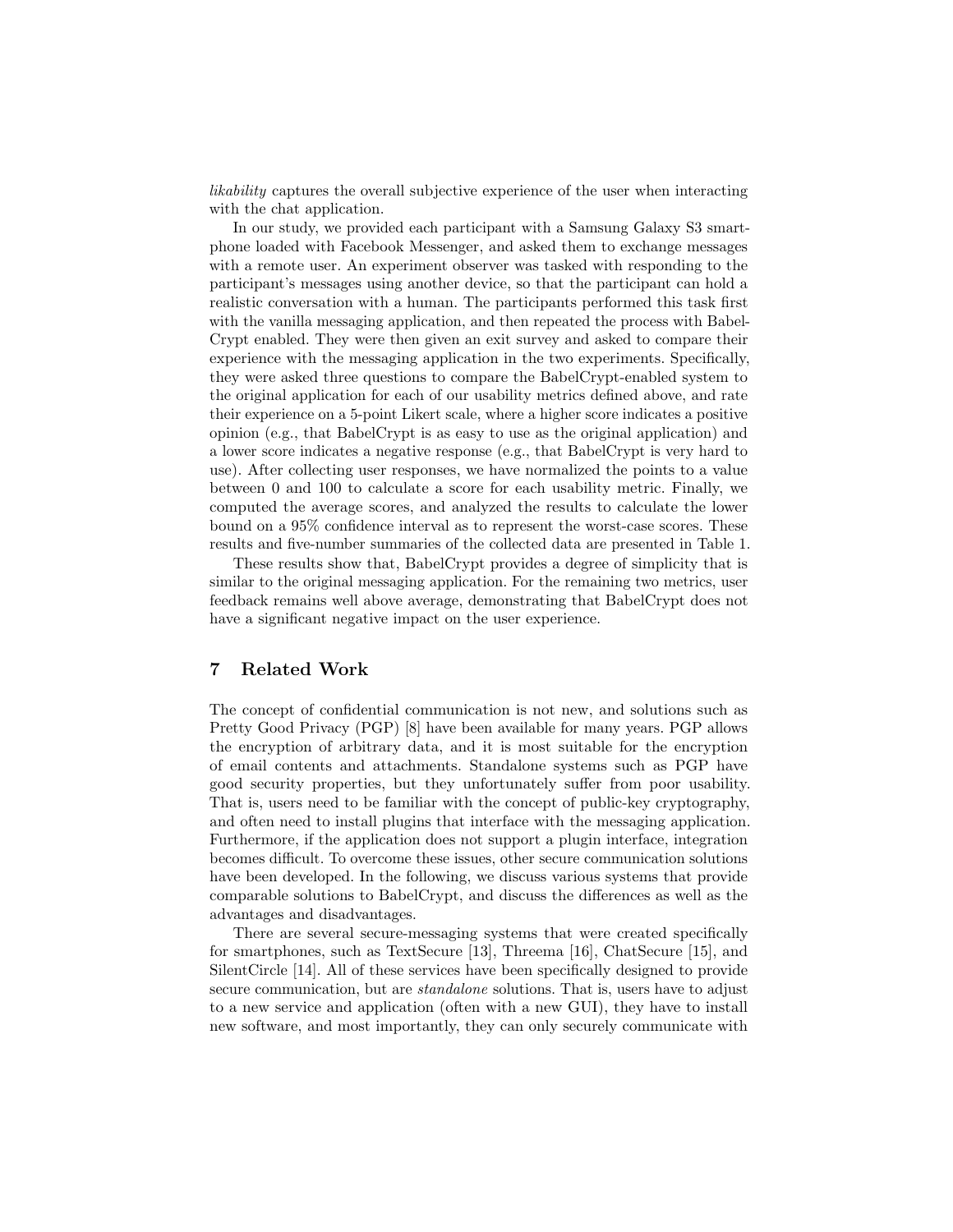likability captures the overall subjective experience of the user when interacting with the chat application.

In our study, we provided each participant with a Samsung Galaxy S3 smartphone loaded with Facebook Messenger, and asked them to exchange messages with a remote user. An experiment observer was tasked with responding to the participant's messages using another device, so that the participant can hold a realistic conversation with a human. The participants performed this task first with the vanilla messaging application, and then repeated the process with Babel-Crypt enabled. They were then given an exit survey and asked to compare their experience with the messaging application in the two experiments. Specifically, they were asked three questions to compare the BabelCrypt-enabled system to the original application for each of our usability metrics defined above, and rate their experience on a 5-point Likert scale, where a higher score indicates a positive opinion (e.g., that BabelCrypt is as easy to use as the original application) and a lower score indicates a negative response (e.g., that BabelCrypt is very hard to use). After collecting user responses, we have normalized the points to a value between 0 and 100 to calculate a score for each usability metric. Finally, we computed the average scores, and analyzed the results to calculate the lower bound on a 95% confidence interval as to represent the worst-case scores. These results and five-number summaries of the collected data are presented in Table 1.

These results show that, BabelCrypt provides a degree of simplicity that is similar to the original messaging application. For the remaining two metrics, user feedback remains well above average, demonstrating that BabelCrypt does not have a significant negative impact on the user experience.

## 7 Related Work

The concept of confidential communication is not new, and solutions such as Pretty Good Privacy (PGP) [8] have been available for many years. PGP allows the encryption of arbitrary data, and it is most suitable for the encryption of email contents and attachments. Standalone systems such as PGP have good security properties, but they unfortunately suffer from poor usability. That is, users need to be familiar with the concept of public-key cryptography, and often need to install plugins that interface with the messaging application. Furthermore, if the application does not support a plugin interface, integration becomes difficult. To overcome these issues, other secure communication solutions have been developed. In the following, we discuss various systems that provide comparable solutions to BabelCrypt, and discuss the differences as well as the advantages and disadvantages.

There are several secure-messaging systems that were created specifically for smartphones, such as TextSecure [13], Threema [16], ChatSecure [15], and SilentCircle [14]. All of these services have been specifically designed to provide secure communication, but are *standalone* solutions. That is, users have to adjust to a new service and application (often with a new GUI), they have to install new software, and most importantly, they can only securely communicate with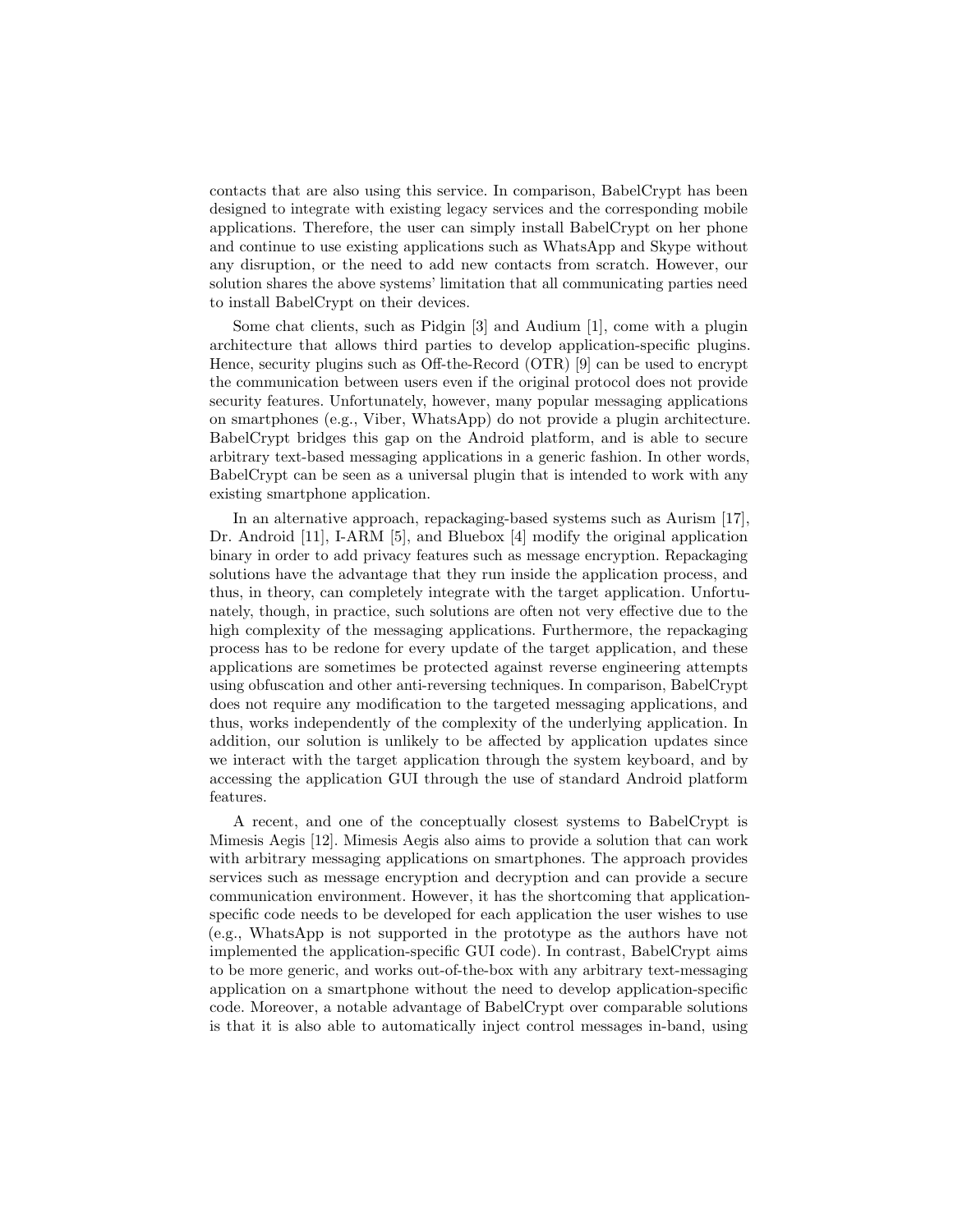contacts that are also using this service. In comparison, BabelCrypt has been designed to integrate with existing legacy services and the corresponding mobile applications. Therefore, the user can simply install BabelCrypt on her phone and continue to use existing applications such as WhatsApp and Skype without any disruption, or the need to add new contacts from scratch. However, our solution shares the above systems' limitation that all communicating parties need to install BabelCrypt on their devices.

Some chat clients, such as Pidgin [3] and Audium [1], come with a plugin architecture that allows third parties to develop application-specific plugins. Hence, security plugins such as Off-the-Record (OTR) [9] can be used to encrypt the communication between users even if the original protocol does not provide security features. Unfortunately, however, many popular messaging applications on smartphones (e.g., Viber, WhatsApp) do not provide a plugin architecture. BabelCrypt bridges this gap on the Android platform, and is able to secure arbitrary text-based messaging applications in a generic fashion. In other words, BabelCrypt can be seen as a universal plugin that is intended to work with any existing smartphone application.

In an alternative approach, repackaging-based systems such as Aurism [17], Dr. Android [11], I-ARM [5], and Bluebox [4] modify the original application binary in order to add privacy features such as message encryption. Repackaging solutions have the advantage that they run inside the application process, and thus, in theory, can completely integrate with the target application. Unfortunately, though, in practice, such solutions are often not very effective due to the high complexity of the messaging applications. Furthermore, the repackaging process has to be redone for every update of the target application, and these applications are sometimes be protected against reverse engineering attempts using obfuscation and other anti-reversing techniques. In comparison, BabelCrypt does not require any modification to the targeted messaging applications, and thus, works independently of the complexity of the underlying application. In addition, our solution is unlikely to be affected by application updates since we interact with the target application through the system keyboard, and by accessing the application GUI through the use of standard Android platform features.

A recent, and one of the conceptually closest systems to BabelCrypt is Mimesis Aegis [12]. Mimesis Aegis also aims to provide a solution that can work with arbitrary messaging applications on smartphones. The approach provides services such as message encryption and decryption and can provide a secure communication environment. However, it has the shortcoming that applicationspecific code needs to be developed for each application the user wishes to use (e.g., WhatsApp is not supported in the prototype as the authors have not implemented the application-specific GUI code). In contrast, BabelCrypt aims to be more generic, and works out-of-the-box with any arbitrary text-messaging application on a smartphone without the need to develop application-specific code. Moreover, a notable advantage of BabelCrypt over comparable solutions is that it is also able to automatically inject control messages in-band, using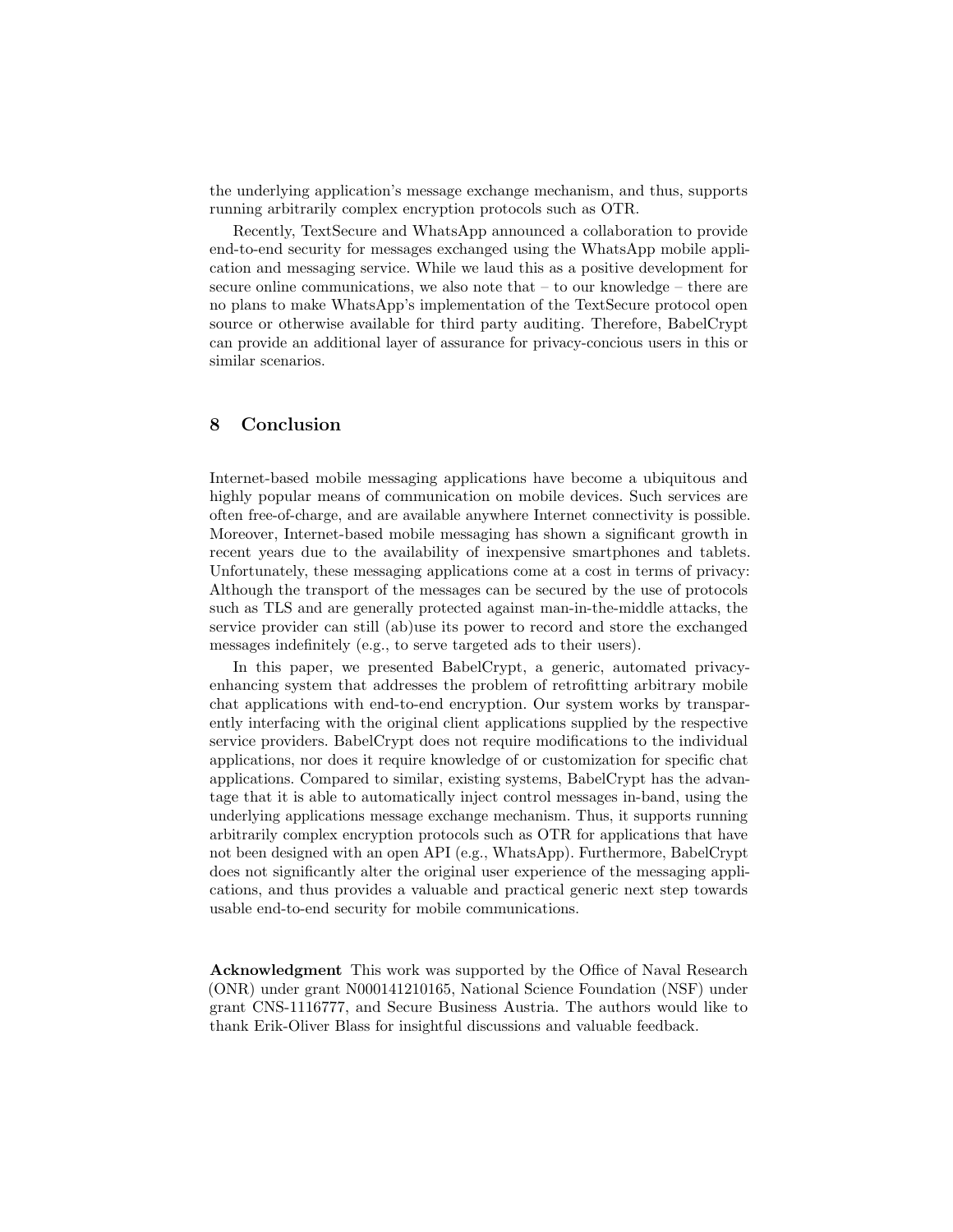the underlying application's message exchange mechanism, and thus, supports running arbitrarily complex encryption protocols such as OTR.

Recently, TextSecure and WhatsApp announced a collaboration to provide end-to-end security for messages exchanged using the WhatsApp mobile application and messaging service. While we laud this as a positive development for secure online communications, we also note that  $-$  to our knowledge  $-$  there are no plans to make WhatsApp's implementation of the TextSecure protocol open source or otherwise available for third party auditing. Therefore, BabelCrypt can provide an additional layer of assurance for privacy-concious users in this or similar scenarios.

## 8 Conclusion

Internet-based mobile messaging applications have become a ubiquitous and highly popular means of communication on mobile devices. Such services are often free-of-charge, and are available anywhere Internet connectivity is possible. Moreover, Internet-based mobile messaging has shown a significant growth in recent years due to the availability of inexpensive smartphones and tablets. Unfortunately, these messaging applications come at a cost in terms of privacy: Although the transport of the messages can be secured by the use of protocols such as TLS and are generally protected against man-in-the-middle attacks, the service provider can still (ab)use its power to record and store the exchanged messages indefinitely (e.g., to serve targeted ads to their users).

In this paper, we presented BabelCrypt, a generic, automated privacyenhancing system that addresses the problem of retrofitting arbitrary mobile chat applications with end-to-end encryption. Our system works by transparently interfacing with the original client applications supplied by the respective service providers. BabelCrypt does not require modifications to the individual applications, nor does it require knowledge of or customization for specific chat applications. Compared to similar, existing systems, BabelCrypt has the advantage that it is able to automatically inject control messages in-band, using the underlying applications message exchange mechanism. Thus, it supports running arbitrarily complex encryption protocols such as OTR for applications that have not been designed with an open API (e.g., WhatsApp). Furthermore, BabelCrypt does not significantly alter the original user experience of the messaging applications, and thus provides a valuable and practical generic next step towards usable end-to-end security for mobile communications.

Acknowledgment This work was supported by the Office of Naval Research (ONR) under grant N000141210165, National Science Foundation (NSF) under grant CNS-1116777, and Secure Business Austria. The authors would like to thank Erik-Oliver Blass for insightful discussions and valuable feedback.